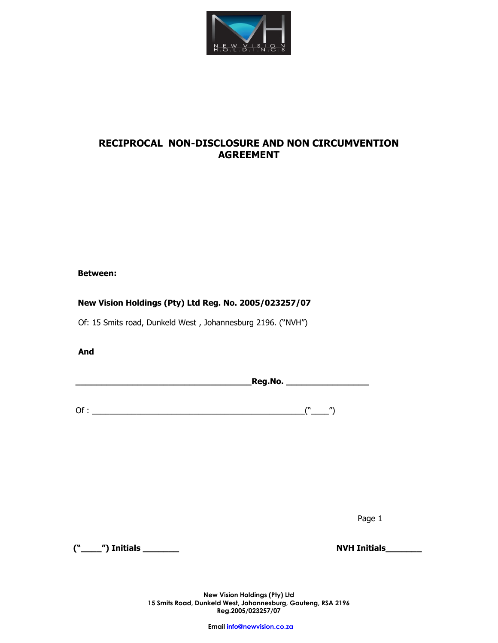

# **RECIPROCAL NON-DISCLOSURE AND NON CIRCUMVENTION AGREEMENT**

## **Between:**

## **New Vision Holdings (Pty) Ltd Reg. No. 2005/023257/07**

Of: 15 Smits road, Dunkeld West , Johannesburg 2196. ("NVH")

**And** 

**\_\_\_\_\_\_\_\_\_\_\_\_\_\_\_\_\_\_\_\_\_\_\_\_\_\_\_\_\_\_\_\_\_\_Reg.No. \_\_\_\_\_\_\_\_\_\_\_\_\_\_\_\_**

Of : \_\_\_\_\_\_\_\_\_\_\_\_\_\_\_\_\_\_\_\_\_\_\_\_\_\_\_\_\_\_\_\_\_\_\_\_\_\_\_\_\_\_\_\_\_\_\_\_("\_\_\_\_")

 $\blacksquare$  Page 1

**("\_\_\_\_") Initials \_\_\_\_\_\_\_ NVH Initials\_\_\_\_\_\_\_**

**New Vision Holdings (Pty) Ltd 15 Smits Road, Dunkeld West, Johannesburg, Gauteng, RSA 2196 Reg.2005/023257/07**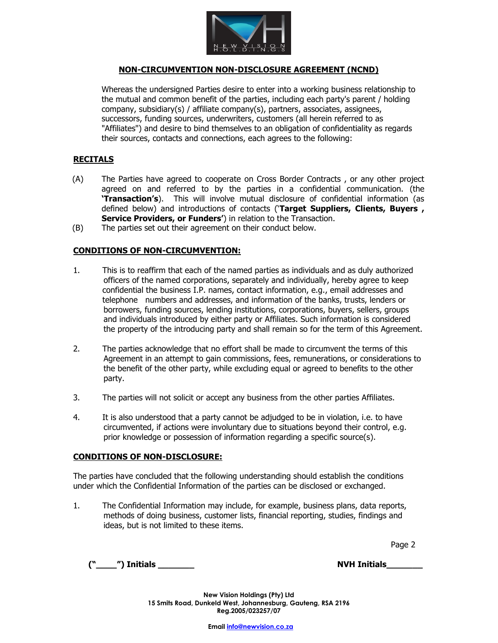

## **NON-CIRCUMVENTION NON-DISCLOSURE AGREEMENT (NCND)**

Whereas the undersigned Parties desire to enter into a working business relationship to the mutual and common benefit of the parties, including each party's parent / holding company, subsidiary(s) / affiliate company(s), partners, associates, assignees, successors, funding sources, underwriters, customers (all herein referred to as "Affiliates") and desire to bind themselves to an obligation of confidentiality as regards their sources, contacts and connections, each agrees to the following:

### **RECITALS**

- (A) The Parties have agreed to cooperate on Cross Border Contracts , or any other project agreed on and referred to by the parties in a confidential communication. (the **'Transaction's**). This will involve mutual disclosure of confidential information (as defined below) and introductions of contacts ('**Target Suppliers, Clients, Buyers , Service Providers, or Funders'**) in relation to the Transaction.
- (B) The parties set out their agreement on their conduct below.

## **CONDITIONS OF NON-CIRCUMVENTION:**

- 1. This is to reaffirm that each of the named parties as individuals and as duly authorized officers of the named corporations, separately and individually, hereby agree to keep confidential the business I.P. names, contact information, e.g., email addresses and telephone numbers and addresses, and information of the banks, trusts, lenders or borrowers, funding sources, lending institutions, corporations, buyers, sellers, groups and individuals introduced by either party or Affiliates. Such information is considered the property of the introducing party and shall remain so for the term of this Agreement.
- 2. The parties acknowledge that no effort shall be made to circumvent the terms of this Agreement in an attempt to gain commissions, fees, remunerations, or considerations to the benefit of the other party, while excluding equal or agreed to benefits to the other party.
- 3. The parties will not solicit or accept any business from the other parties Affiliates.
- 4. It is also understood that a party cannot be adjudged to be in violation, i.e. to have circumvented, if actions were involuntary due to situations beyond their control, e.g. prior knowledge or possession of information regarding a specific source(s).

#### **CONDITIONS OF NON-DISCLOSURE:**

The parties have concluded that the following understanding should establish the conditions under which the Confidential Information of the parties can be disclosed or exchanged.

1. The Confidential Information may include, for example, business plans, data reports, methods of doing business, customer lists, financial reporting, studies, findings and ideas, but is not limited to these items.

en de la provincia de la provincia de la provincia de la provincia de la provincia de la provincia de la provi

**("\_\_\_\_") Initials \_\_\_\_\_\_\_ NVH Initials\_\_\_\_\_\_\_**

**New Vision Holdings (Pty) Ltd 15 Smits Road, Dunkeld West, Johannesburg, Gauteng, RSA 2196 Reg.2005/023257/07**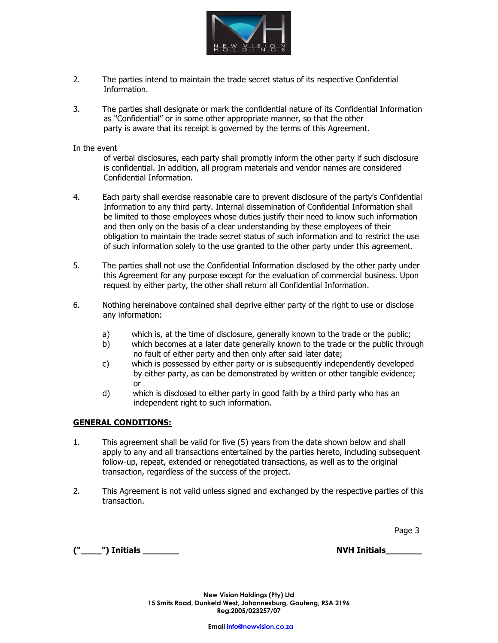

- 2. The parties intend to maintain the trade secret status of its respective Confidential Information.
- 3. The parties shall designate or mark the confidential nature of its Confidential Information as "Confidential" or in some other appropriate manner, so that the other party is aware that its receipt is governed by the terms of this Agreement.

In the event

 of verbal disclosures, each party shall promptly inform the other party if such disclosure is confidential. In addition, all program materials and vendor names are considered Confidential Information.

- 4. Each party shall exercise reasonable care to prevent disclosure of the party's Confidential Information to any third party. Internal dissemination of Confidential Information shall be limited to those employees whose duties justify their need to know such information and then only on the basis of a clear understanding by these employees of their obligation to maintain the trade secret status of such information and to restrict the use of such information solely to the use granted to the other party under this agreement.
- 5. The parties shall not use the Confidential Information disclosed by the other party under this Agreement for any purpose except for the evaluation of commercial business. Upon request by either party, the other shall return all Confidential Information.
- 6. Nothing hereinabove contained shall deprive either party of the right to use or disclose any information:
	- a) which is, at the time of disclosure, generally known to the trade or the public;
	- b) which becomes at a later date generally known to the trade or the public through no fault of either party and then only after said later date;
	- c) which is possessed by either party or is subsequently independently developed by either party, as can be demonstrated by written or other tangible evidence; or
	- d) which is disclosed to either party in good faith by a third party who has an independent right to such information.

#### **GENERAL CONDITIONS:**

- 1. This agreement shall be valid for five (5) years from the date shown below and shall apply to any and all transactions entertained by the parties hereto, including subsequent follow-up, repeat, extended or renegotiated transactions, as well as to the original transaction, regardless of the success of the project.
- 2. This Agreement is not valid unless signed and exchanged by the respective parties of this transaction.

Page 3 المستخدم المستخدم المستخدم المستخدم المستخدم المستخدم المستخدم المستخدم المستخدم المستخدم المستخدم المس

**("\_\_\_\_") Initials \_\_\_\_\_\_\_ NVH Initials\_\_\_\_\_\_\_**

**New Vision Holdings (Pty) Ltd 15 Smits Road, Dunkeld West, Johannesburg, Gauteng, RSA 2196 Reg.2005/023257/07**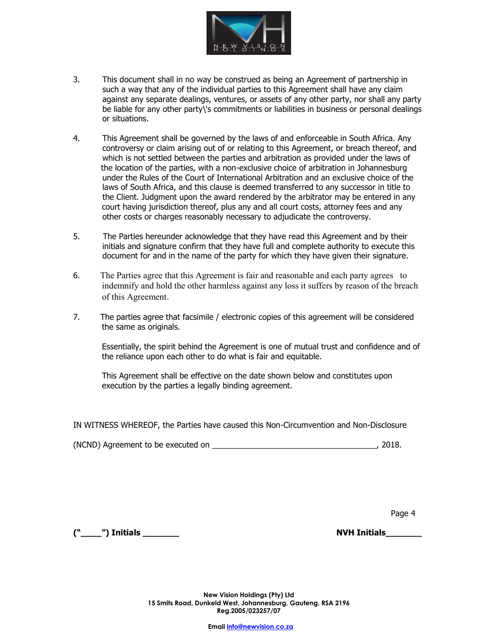

- 3. This document shall in no way be construed as being an Agreement of partnership in such a way that any of the individual parties to this Agreement shall have any claim against any separate dealings, ventures, or assets of any other party, nor shall any party be liable for any other party\'s commitments or liabilities in business or personal dealings or situations.
- 4. This Agreement shall be governed by the laws of and enforceable in South Africa. Any controversy or claim arising out of or relating to this Agreement, or breach thereof, and which is not settled between the parties and arbitration as provided under the laws of the location of the parties, with a non-exclusive choice of arbitration in Johannesburg under the Rules of the Court of International Arbitration and an exclusive choice of the laws of South Africa, and this clause is deemed transferred to any successor in title to the Client. Judgment upon the award rendered by the arbitrator may be entered in any court having jurisdiction thereof, plus any and all court costs, attorney fees and any other costs or charges reasonably necessary to adjudicate the controversy.
- 5. The Parties hereunder acknowledge that they have read this Agreement and by their initials and signature confirm that they have full and complete authority to execute this document for and in the name of the party for which they have given their signature.
- 6. The Parties agree that this Agreement is fair and reasonable and each party agrees to indemnify and hold the other harmless against any loss it suffers by reason of the breach of this Agreement.
- 7. The parties agree that facsimile / electronic copies of this agreement will be considered the same as originals.

Essentially, the spirit behind the Agreement is one of mutual trust and confidence and of the reliance upon each other to do what is fair and equitable.

This Agreement shall be effective on the date shown below and constitutes upon execution by the parties a legally binding agreement.

IN WITNESS WHEREOF, the Parties have caused this Non-Circumvention and Non-Disclosure

(NCND) Agreement to be executed on \_\_\_\_\_\_\_\_\_\_\_\_\_\_\_\_\_\_\_\_\_\_\_\_\_\_\_\_\_\_\_\_\_\_\_\_\_, 2018.

**Page 4 Page 4** *Page 4* 

**("\_\_\_\_") Initials \_\_\_\_\_\_\_ NVH Initials\_\_\_\_\_\_\_**